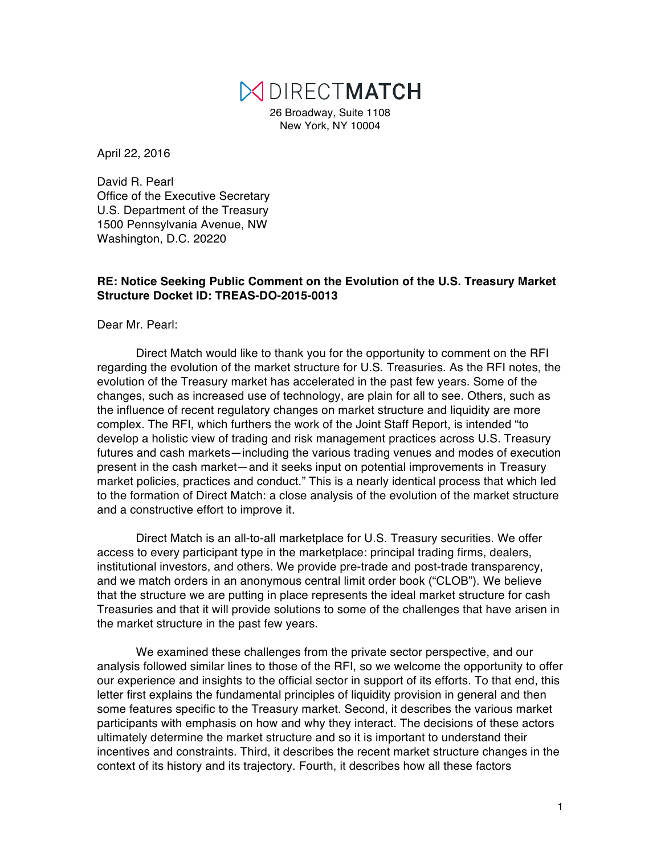# MDIRECTMATCH

26 Broadway, Suite 1108 New York, NY 10004

April 22, 2016

David R. Pearl Office of the Executive Secretary U.S. Department of the Treasury 1500 Pennsylvania Avenue, NW Washington, D.C. 20220

### **RE: Notice Seeking Public Comment on the Evolution of the U.S. Treasury Market Structure Docket ID: TREAS-DO-2015-0013**

Dear Mr. Pearl:

Direct Match would like to thank you for the opportunity to comment on the RFI regarding the evolution of the market structure for U.S. Treasuries. As the RFI notes, the evolution of the Treasury market has accelerated in the past few years. Some of the changes, such as increased use of technology, are plain for all to see. Others, such as the influence of recent regulatory changes on market structure and liquidity are more complex. The RFI, which furthers the work of the Joint Staff Report, is intended "to develop a holistic view of trading and risk management practices across U.S. Treasury futures and cash markets—including the various trading venues and modes of execution present in the cash market—and it seeks input on potential improvements in Treasury market policies, practices and conduct." This is a nearly identical process that which led to the formation of Direct Match: a close analysis of the evolution of the market structure and a constructive effort to improve it.

Direct Match is an all-to-all marketplace for U.S. Treasury securities. We offer access to every participant type in the marketplace: principal trading firms, dealers, institutional investors, and others. We provide pre-trade and post-trade transparency, and we match orders in an anonymous central limit order book ("CLOB"). We believe that the structure we are putting in place represents the ideal market structure for cash Treasuries and that it will provide solutions to some of the challenges that have arisen in the market structure in the past few years.

We examined these challenges from the private sector perspective, and our analysis followed similar lines to those of the RFI, so we welcome the opportunity to offer our experience and insights to the official sector in support of its efforts. To that end, this letter first explains the fundamental principles of liquidity provision in general and then some features specific to the Treasury market. Second, it describes the various market participants with emphasis on how and why they interact. The decisions of these actors ultimately determine the market structure and so it is important to understand their incentives and constraints. Third, it describes the recent market structure changes in the context of its history and its trajectory. Fourth, it describes how all these factors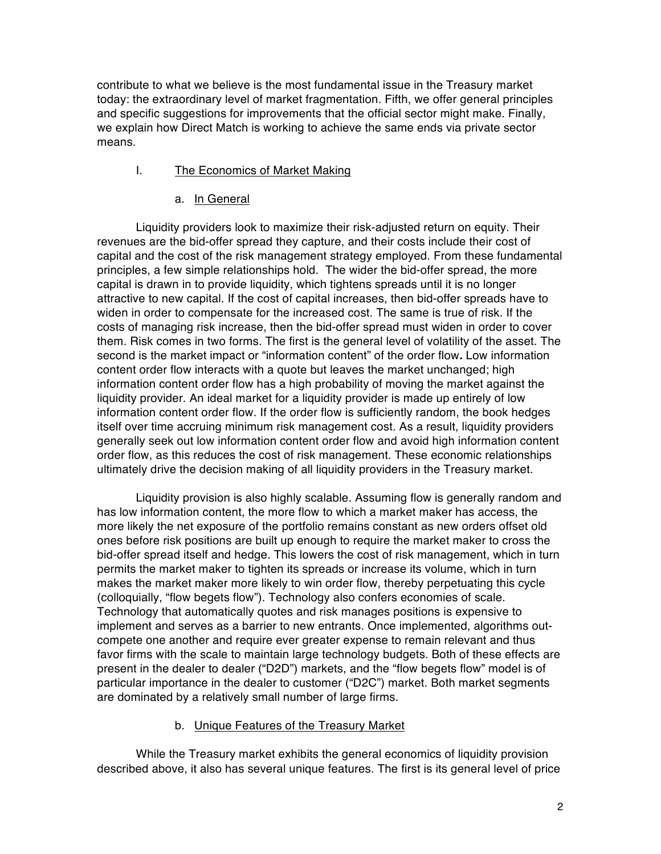contribute to what we believe is the most fundamental issue in the Treasury market today: the extraordinary level of market fragmentation. Fifth, we offer general principles and specific suggestions for improvements that the official sector might make. Finally, we explain how Direct Match is working to achieve the same ends via private sector means.

## I. The Economics of Market Making

## a. In General

Liquidity providers look to maximize their risk-adjusted return on equity. Their revenues are the bid-offer spread they capture, and their costs include their cost of capital and the cost of the risk management strategy employed. From these fundamental principles, a few simple relationships hold. The wider the bid-offer spread, the more capital is drawn in to provide liquidity, which tightens spreads until it is no longer attractive to new capital. If the cost of capital increases, then bid-offer spreads have to widen in order to compensate for the increased cost. The same is true of risk. If the costs of managing risk increase, then the bid-offer spread must widen in order to cover them. Risk comes in two forms. The first is the general level of volatility of the asset. The second is the market impact or "information content" of the order flow*.* Low information content order flow interacts with a quote but leaves the market unchanged; high information content order flow has a high probability of moving the market against the liquidity provider. An ideal market for a liquidity provider is made up entirely of low information content order flow. If the order flow is sufficiently random, the book hedges itself over time accruing minimum risk management cost. As a result, liquidity providers generally seek out low information content order flow and avoid high information content order flow, as this reduces the cost of risk management. These economic relationships ultimately drive the decision making of all liquidity providers in the Treasury market.

Liquidity provision is also highly scalable. Assuming flow is generally random and has low information content, the more flow to which a market maker has access, the more likely the net exposure of the portfolio remains constant as new orders offset old ones before risk positions are built up enough to require the market maker to cross the bid-offer spread itself and hedge. This lowers the cost of risk management, which in turn permits the market maker to tighten its spreads or increase its volume, which in turn makes the market maker more likely to win order flow, thereby perpetuating this cycle (colloquially, "flow begets flow"). Technology also confers economies of scale. Technology that automatically quotes and risk manages positions is expensive to implement and serves as a barrier to new entrants. Once implemented, algorithms outcompete one another and require ever greater expense to remain relevant and thus favor firms with the scale to maintain large technology budgets. Both of these effects are present in the dealer to dealer ("D2D") markets, and the "flow begets flow" model is of particular importance in the dealer to customer ("D2C") market. Both market segments are dominated by a relatively small number of large firms.

## b. Unique Features of the Treasury Market

While the Treasury market exhibits the general economics of liquidity provision described above, it also has several unique features. The first is its general level of price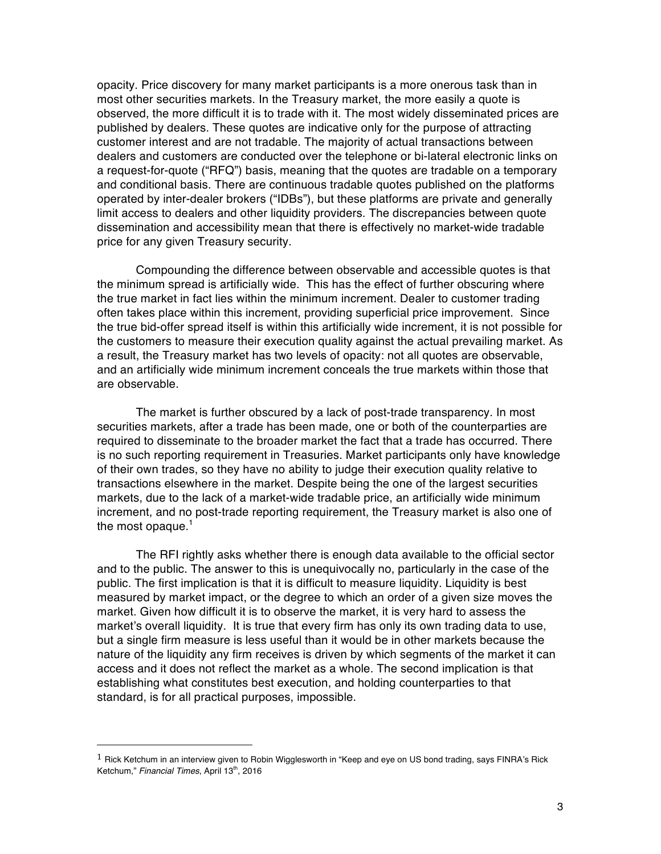opacity. Price discovery for many market participants is a more onerous task than in most other securities markets. In the Treasury market, the more easily a quote is observed, the more difficult it is to trade with it. The most widely disseminated prices are published by dealers. These quotes are indicative only for the purpose of attracting customer interest and are not tradable. The majority of actual transactions between dealers and customers are conducted over the telephone or bi-lateral electronic links on a request-for-quote ("RFQ") basis, meaning that the quotes are tradable on a temporary and conditional basis. There are continuous tradable quotes published on the platforms operated by inter-dealer brokers ("IDBs"), but these platforms are private and generally limit access to dealers and other liquidity providers. The discrepancies between quote dissemination and accessibility mean that there is effectively no market-wide tradable price for any given Treasury security.

Compounding the difference between observable and accessible quotes is that the minimum spread is artificially wide. This has the effect of further obscuring where the true market in fact lies within the minimum increment. Dealer to customer trading often takes place within this increment, providing superficial price improvement. Since the true bid-offer spread itself is within this artificially wide increment, it is not possible for the customers to measure their execution quality against the actual prevailing market. As a result, the Treasury market has two levels of opacity: not all quotes are observable, and an artificially wide minimum increment conceals the true markets within those that are observable.

The market is further obscured by a lack of post-trade transparency. In most securities markets, after a trade has been made, one or both of the counterparties are required to disseminate to the broader market the fact that a trade has occurred. There is no such reporting requirement in Treasuries. Market participants only have knowledge of their own trades, so they have no ability to judge their execution quality relative to transactions elsewhere in the market. Despite being the one of the largest securities markets, due to the lack of a market-wide tradable price, an artificially wide minimum increment, and no post-trade reporting requirement, the Treasury market is also one of the most opaque. $1$ 

The RFI rightly asks whether there is enough data available to the official sector and to the public. The answer to this is unequivocally no, particularly in the case of the public. The first implication is that it is difficult to measure liquidity. Liquidity is best measured by market impact, or the degree to which an order of a given size moves the market. Given how difficult it is to observe the market, it is very hard to assess the market's overall liquidity. It is true that every firm has only its own trading data to use, but a single firm measure is less useful than it would be in other markets because the nature of the liquidity any firm receives is driven by which segments of the market it can access and it does not reflect the market as a whole. The second implication is that establishing what constitutes best execution, and holding counterparties to that standard, is for all practical purposes, impossible.

 $1$  Rick Ketchum in an interview given to Robin Wigglesworth in "Keep and eye on US bond trading, says FINRA's Rick Ketchum," Financial Times, April 13<sup>th</sup>, 2016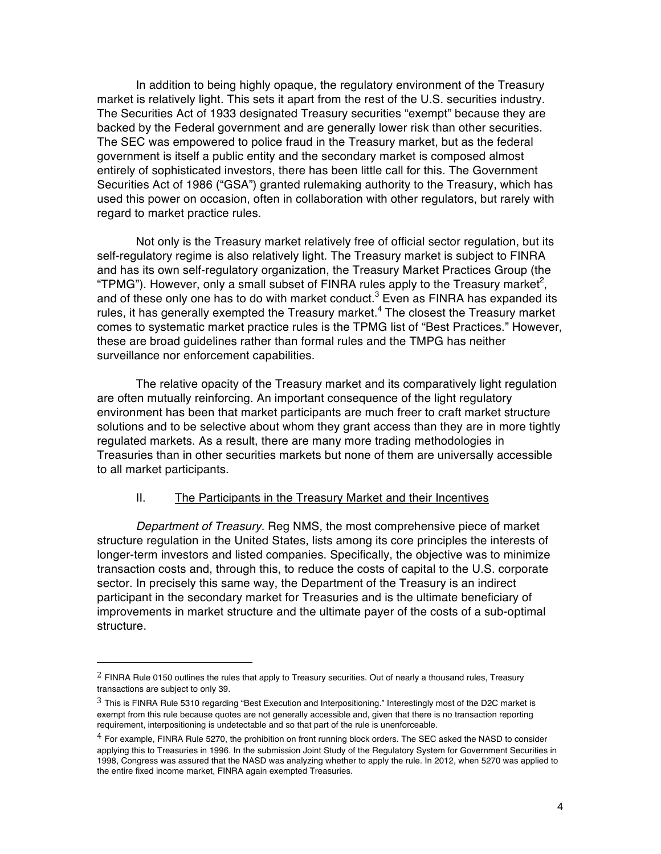In addition to being highly opaque, the regulatory environment of the Treasury market is relatively light. This sets it apart from the rest of the U.S. securities industry. The Securities Act of 1933 designated Treasury securities "exempt" because they are backed by the Federal government and are generally lower risk than other securities. The SEC was empowered to police fraud in the Treasury market, but as the federal government is itself a public entity and the secondary market is composed almost entirely of sophisticated investors, there has been little call for this. The Government Securities Act of 1986 ("GSA") granted rulemaking authority to the Treasury, which has used this power on occasion, often in collaboration with other regulators, but rarely with regard to market practice rules.

Not only is the Treasury market relatively free of official sector regulation, but its self-regulatory regime is also relatively light. The Treasury market is subject to FINRA and has its own self-regulatory organization, the Treasury Market Practices Group (the "TPMG"). However, only a small subset of FINRA rules apply to the Treasury market<sup>2</sup>, and of these only one has to do with market conduct. $3$  Even as FINRA has expanded its rules, it has generally exempted the Treasury market.<sup>4</sup> The closest the Treasury market comes to systematic market practice rules is the TPMG list of "Best Practices." However, these are broad guidelines rather than formal rules and the TMPG has neither surveillance nor enforcement capabilities.

The relative opacity of the Treasury market and its comparatively light regulation are often mutually reinforcing. An important consequence of the light regulatory environment has been that market participants are much freer to craft market structure solutions and to be selective about whom they grant access than they are in more tightly regulated markets. As a result, there are many more trading methodologies in Treasuries than in other securities markets but none of them are universally accessible to all market participants.

### II. The Participants in the Treasury Market and their Incentives

*Department of Treasury.* Reg NMS, the most comprehensive piece of market structure regulation in the United States, lists among its core principles the interests of longer-term investors and listed companies. Specifically, the objective was to minimize transaction costs and, through this, to reduce the costs of capital to the U.S. corporate sector. In precisely this same way, the Department of the Treasury is an indirect participant in the secondary market for Treasuries and is the ultimate beneficiary of improvements in market structure and the ultimate payer of the costs of a sub-optimal structure.

 $2$  FINRA Rule 0150 outlines the rules that apply to Treasury securities. Out of nearly a thousand rules, Treasury transactions are subject to only 39.

<sup>3</sup> This is FINRA Rule 5310 regarding "Best Execution and Interpositioning." Interestingly most of the D2C market is exempt from this rule because quotes are not generally accessible and, given that there is no transaction reporting requirement, interpositioning is undetectable and so that part of the rule is unenforceable.

<sup>4</sup> For example, FINRA Rule 5270, the prohibition on front running block orders. The SEC asked the NASD to consider applying this to Treasuries in 1996. In the submission Joint Study of the Regulatory System for Government Securities in 1998, Congress was assured that the NASD was analyzing whether to apply the rule. In 2012, when 5270 was applied to the entire fixed income market, FINRA again exempted Treasuries.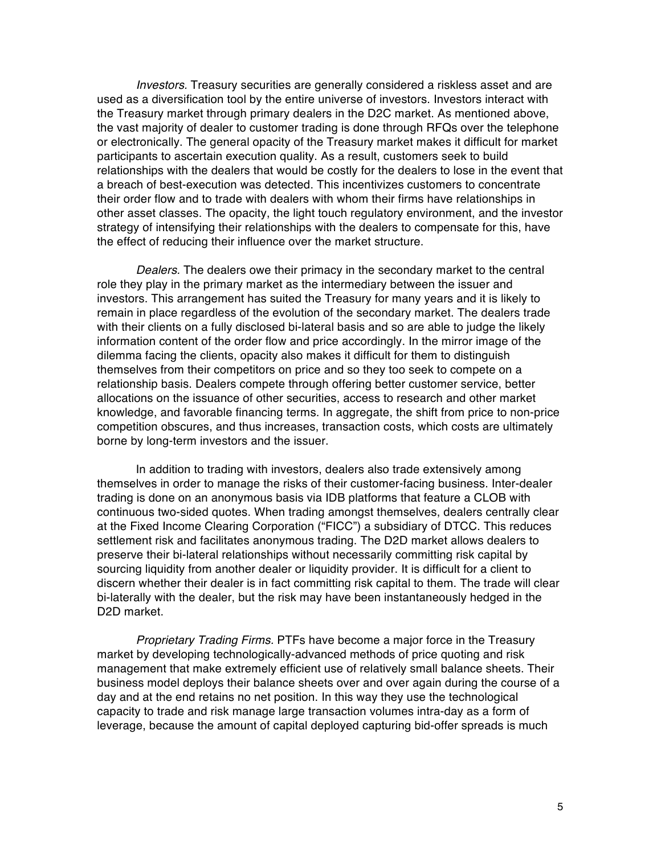*Investors.* Treasury securities are generally considered a riskless asset and are used as a diversification tool by the entire universe of investors. Investors interact with the Treasury market through primary dealers in the D2C market. As mentioned above, the vast majority of dealer to customer trading is done through RFQs over the telephone or electronically. The general opacity of the Treasury market makes it difficult for market participants to ascertain execution quality. As a result, customers seek to build relationships with the dealers that would be costly for the dealers to lose in the event that a breach of best-execution was detected. This incentivizes customers to concentrate their order flow and to trade with dealers with whom their firms have relationships in other asset classes. The opacity, the light touch regulatory environment, and the investor strategy of intensifying their relationships with the dealers to compensate for this, have the effect of reducing their influence over the market structure.

*Dealers.* The dealers owe their primacy in the secondary market to the central role they play in the primary market as the intermediary between the issuer and investors. This arrangement has suited the Treasury for many years and it is likely to remain in place regardless of the evolution of the secondary market. The dealers trade with their clients on a fully disclosed bi-lateral basis and so are able to judge the likely information content of the order flow and price accordingly. In the mirror image of the dilemma facing the clients, opacity also makes it difficult for them to distinguish themselves from their competitors on price and so they too seek to compete on a relationship basis. Dealers compete through offering better customer service, better allocations on the issuance of other securities, access to research and other market knowledge, and favorable financing terms. In aggregate, the shift from price to non-price competition obscures, and thus increases, transaction costs, which costs are ultimately borne by long-term investors and the issuer.

In addition to trading with investors, dealers also trade extensively among themselves in order to manage the risks of their customer-facing business. Inter-dealer trading is done on an anonymous basis via IDB platforms that feature a CLOB with continuous two-sided quotes. When trading amongst themselves, dealers centrally clear at the Fixed Income Clearing Corporation ("FICC") a subsidiary of DTCC. This reduces settlement risk and facilitates anonymous trading. The D2D market allows dealers to preserve their bi-lateral relationships without necessarily committing risk capital by sourcing liquidity from another dealer or liquidity provider. It is difficult for a client to discern whether their dealer is in fact committing risk capital to them. The trade will clear bi-laterally with the dealer, but the risk may have been instantaneously hedged in the D2D market.

*Proprietary Trading Firms.* PTFs have become a major force in the Treasury market by developing technologically-advanced methods of price quoting and risk management that make extremely efficient use of relatively small balance sheets. Their business model deploys their balance sheets over and over again during the course of a day and at the end retains no net position. In this way they use the technological capacity to trade and risk manage large transaction volumes intra-day as a form of leverage, because the amount of capital deployed capturing bid-offer spreads is much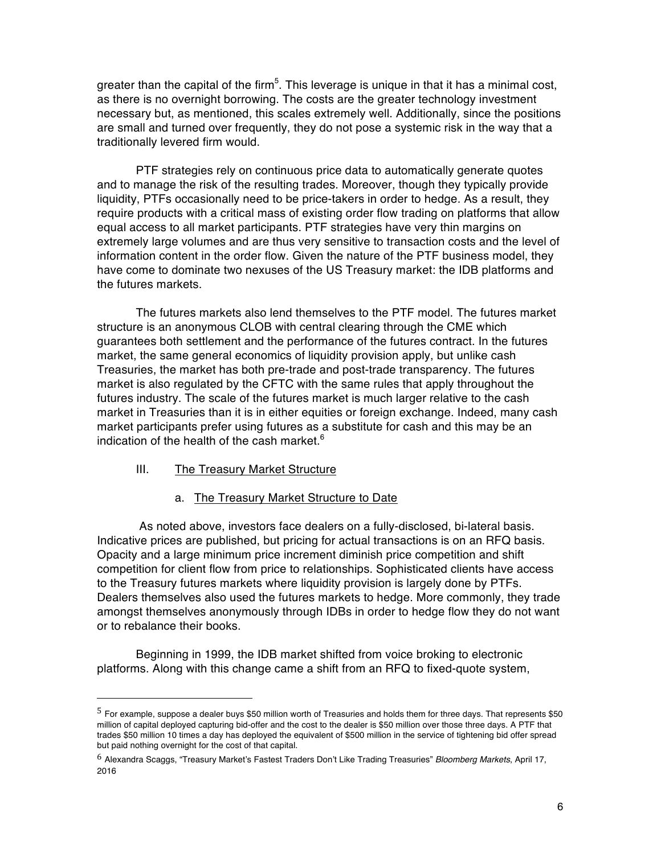greater than the capital of the firm<sup>5</sup>. This leverage is unique in that it has a minimal cost, as there is no overnight borrowing. The costs are the greater technology investment necessary but, as mentioned, this scales extremely well. Additionally, since the positions are small and turned over frequently, they do not pose a systemic risk in the way that a traditionally levered firm would.

PTF strategies rely on continuous price data to automatically generate quotes and to manage the risk of the resulting trades. Moreover, though they typically provide liquidity, PTFs occasionally need to be price-takers in order to hedge. As a result, they require products with a critical mass of existing order flow trading on platforms that allow equal access to all market participants. PTF strategies have very thin margins on extremely large volumes and are thus very sensitive to transaction costs and the level of information content in the order flow. Given the nature of the PTF business model, they have come to dominate two nexuses of the US Treasury market: the IDB platforms and the futures markets.

The futures markets also lend themselves to the PTF model. The futures market structure is an anonymous CLOB with central clearing through the CME which guarantees both settlement and the performance of the futures contract. In the futures market, the same general economics of liquidity provision apply, but unlike cash Treasuries, the market has both pre-trade and post-trade transparency. The futures market is also regulated by the CFTC with the same rules that apply throughout the futures industry. The scale of the futures market is much larger relative to the cash market in Treasuries than it is in either equities or foreign exchange. Indeed, many cash market participants prefer using futures as a substitute for cash and this may be an indication of the health of the cash market. $6$ 

#### III. The Treasury Market Structure

 

a. The Treasury Market Structure to Date

As noted above, investors face dealers on a fully-disclosed, bi-lateral basis. Indicative prices are published, but pricing for actual transactions is on an RFQ basis. Opacity and a large minimum price increment diminish price competition and shift competition for client flow from price to relationships. Sophisticated clients have access to the Treasury futures markets where liquidity provision is largely done by PTFs. Dealers themselves also used the futures markets to hedge. More commonly, they trade amongst themselves anonymously through IDBs in order to hedge flow they do not want or to rebalance their books.

Beginning in 1999, the IDB market shifted from voice broking to electronic platforms. Along with this change came a shift from an RFQ to fixed-quote system,

 $5$  For example, suppose a dealer buys \$50 million worth of Treasuries and holds them for three days. That represents \$50 million of capital deployed capturing bid-offer and the cost to the dealer is \$50 million over those three days. A PTF that trades \$50 million 10 times a day has deployed the equivalent of \$500 million in the service of tightening bid offer spread but paid nothing overnight for the cost of that capital.

<sup>6</sup> Alexandra Scaggs, "Treasury Market's Fastest Traders Don't Like Trading Treasuries" *Bloomberg Markets*, April 17, 2016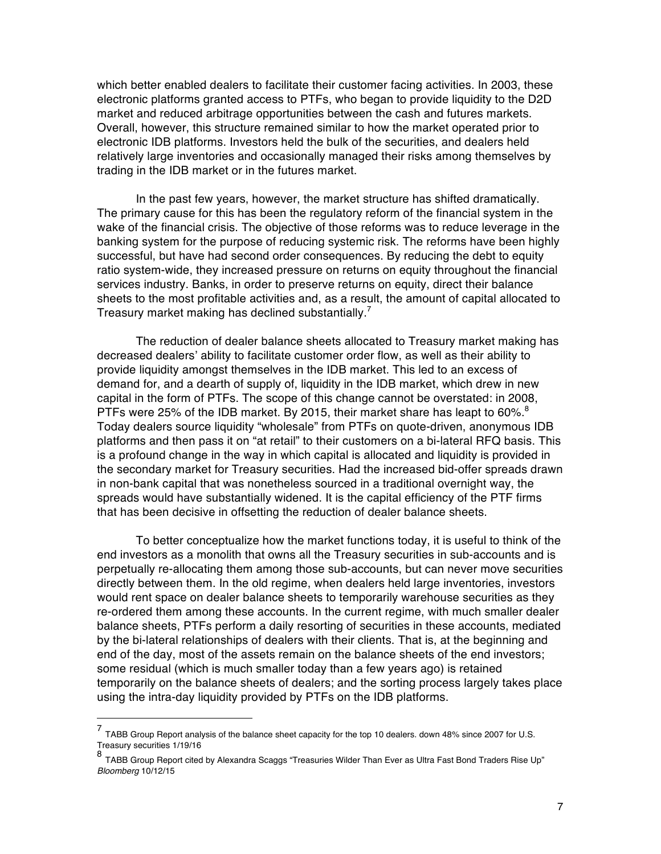which better enabled dealers to facilitate their customer facing activities. In 2003, these electronic platforms granted access to PTFs, who began to provide liquidity to the D2D market and reduced arbitrage opportunities between the cash and futures markets. Overall, however, this structure remained similar to how the market operated prior to electronic IDB platforms. Investors held the bulk of the securities, and dealers held relatively large inventories and occasionally managed their risks among themselves by trading in the IDB market or in the futures market.

In the past few years, however, the market structure has shifted dramatically. The primary cause for this has been the regulatory reform of the financial system in the wake of the financial crisis. The objective of those reforms was to reduce leverage in the banking system for the purpose of reducing systemic risk. The reforms have been highly successful, but have had second order consequences. By reducing the debt to equity ratio system-wide, they increased pressure on returns on equity throughout the financial services industry. Banks, in order to preserve returns on equity, direct their balance sheets to the most profitable activities and, as a result, the amount of capital allocated to Treasury market making has declined substantially.<sup>7</sup>

The reduction of dealer balance sheets allocated to Treasury market making has decreased dealers' ability to facilitate customer order flow, as well as their ability to provide liquidity amongst themselves in the IDB market. This led to an excess of demand for, and a dearth of supply of, liquidity in the IDB market, which drew in new capital in the form of PTFs. The scope of this change cannot be overstated: in 2008, PTFs were 25% of the IDB market. By 2015, their market share has leapt to 60%. $^8$ Today dealers source liquidity "wholesale" from PTFs on quote-driven, anonymous IDB platforms and then pass it on "at retail" to their customers on a bi-lateral RFQ basis. This is a profound change in the way in which capital is allocated and liquidity is provided in the secondary market for Treasury securities. Had the increased bid-offer spreads drawn in non-bank capital that was nonetheless sourced in a traditional overnight way, the spreads would have substantially widened. It is the capital efficiency of the PTF firms that has been decisive in offsetting the reduction of dealer balance sheets.

To better conceptualize how the market functions today, it is useful to think of the end investors as a monolith that owns all the Treasury securities in sub-accounts and is perpetually re-allocating them among those sub-accounts, but can never move securities directly between them. In the old regime, when dealers held large inventories, investors would rent space on dealer balance sheets to temporarily warehouse securities as they re-ordered them among these accounts. In the current regime, with much smaller dealer balance sheets, PTFs perform a daily resorting of securities in these accounts, mediated by the bi-lateral relationships of dealers with their clients. That is, at the beginning and end of the day, most of the assets remain on the balance sheets of the end investors; some residual (which is much smaller today than a few years ago) is retained temporarily on the balance sheets of dealers; and the sorting process largely takes place using the intra-day liquidity provided by PTFs on the IDB platforms.

<sup>7&</sup>lt;br>TABB Group Report analysis of the balance sheet capacity for the top 10 dealers. down 48% since 2007 for U.S. Treasury securities 1/19/16

<sup>8</sup> TABB Group Report cited by Alexandra Scaggs "Treasuries Wilder Than Ever as Ultra Fast Bond Traders Rise Up" *Bloomberg* 10/12/15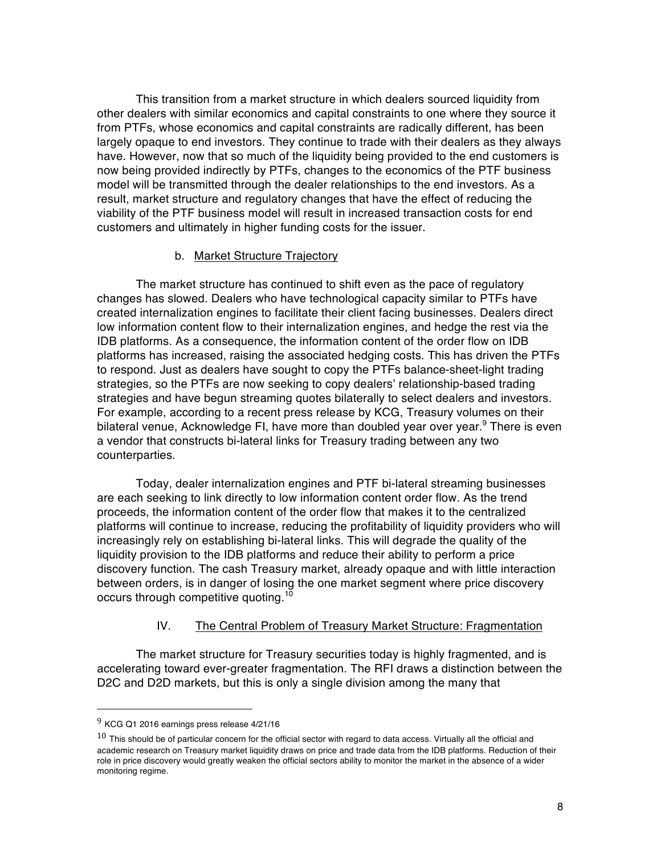This transition from a market structure in which dealers sourced liquidity from other dealers with similar economics and capital constraints to one where they source it from PTFs, whose economics and capital constraints are radically different, has been largely opaque to end investors. They continue to trade with their dealers as they always have. However, now that so much of the liquidity being provided to the end customers is now being provided indirectly by PTFs, changes to the economics of the PTF business model will be transmitted through the dealer relationships to the end investors. As a result, market structure and regulatory changes that have the effect of reducing the viability of the PTF business model will result in increased transaction costs for end customers and ultimately in higher funding costs for the issuer.

#### b. Market Structure Trajectory

The market structure has continued to shift even as the pace of regulatory changes has slowed. Dealers who have technological capacity similar to PTFs have created internalization engines to facilitate their client facing businesses. Dealers direct low information content flow to their internalization engines, and hedge the rest via the IDB platforms. As a consequence, the information content of the order flow on IDB platforms has increased, raising the associated hedging costs. This has driven the PTFs to respond. Just as dealers have sought to copy the PTFs balance-sheet-light trading strategies, so the PTFs are now seeking to copy dealers' relationship-based trading strategies and have begun streaming quotes bilaterally to select dealers and investors. For example, according to a recent press release by KCG, Treasury volumes on their bilateral venue, Acknowledge FI, have more than doubled year over year.<sup>9</sup> There is even a vendor that constructs bi-lateral links for Treasury trading between any two counterparties.

Today, dealer internalization engines and PTF bi-lateral streaming businesses are each seeking to link directly to low information content order flow. As the trend proceeds, the information content of the order flow that makes it to the centralized platforms will continue to increase, reducing the profitability of liquidity providers who will increasingly rely on establishing bi-lateral links. This will degrade the quality of the liquidity provision to the IDB platforms and reduce their ability to perform a price discovery function. The cash Treasury market, already opaque and with little interaction between orders, is in danger of losing the one market segment where price discovery occurs through competitive quoting.<sup>10</sup>

#### IV. The Central Problem of Treasury Market Structure: Fragmentation

The market structure for Treasury securities today is highly fragmented, and is accelerating toward ever-greater fragmentation. The RFI draws a distinction between the D2C and D2D markets, but this is only a single division among the many that

<sup>9</sup> KCG Q1 <sup>2016</sup> earnings press release 4/21/16

 $10$  This should be of particular concern for the official sector with regard to data access. Virtually all the official and academic research on Treasury market liquidity draws on price and trade data from the IDB platforms. Reduction of their role in price discovery would greatly weaken the official sectors ability to monitor the market in the absence of a wider monitoring regime.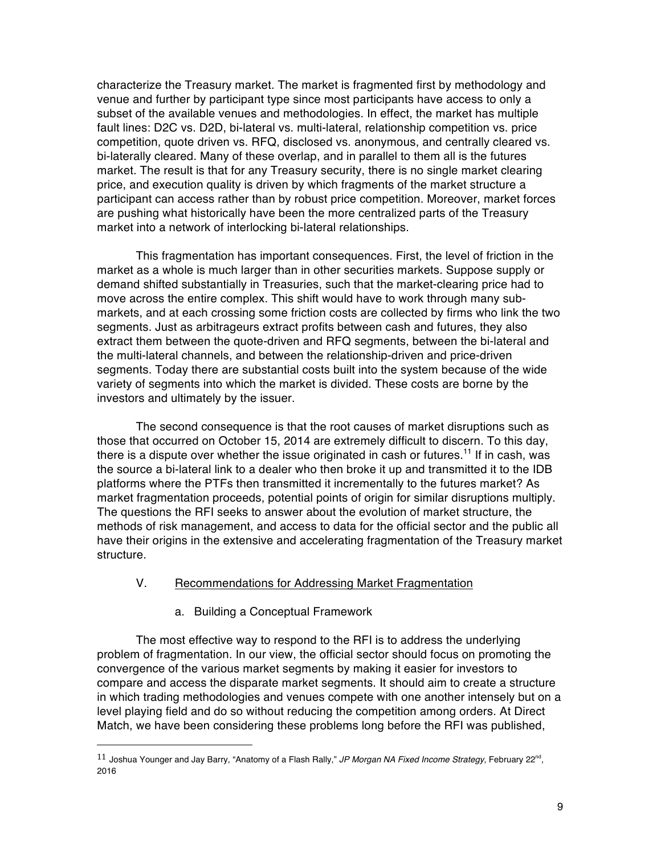characterize the Treasury market. The market is fragmented first by methodology and venue and further by participant type since most participants have access to only a subset of the available venues and methodologies. In effect, the market has multiple fault lines: D2C vs. D2D, bi-lateral vs. multi-lateral, relationship competition vs. price competition, quote driven vs. RFQ, disclosed vs. anonymous, and centrally cleared vs. bi-laterally cleared. Many of these overlap, and in parallel to them all is the futures market. The result is that for any Treasury security, there is no single market clearing price, and execution quality is driven by which fragments of the market structure a participant can access rather than by robust price competition. Moreover, market forces are pushing what historically have been the more centralized parts of the Treasury market into a network of interlocking bi-lateral relationships.

This fragmentation has important consequences. First, the level of friction in the market as a whole is much larger than in other securities markets. Suppose supply or demand shifted substantially in Treasuries, such that the market-clearing price had to move across the entire complex. This shift would have to work through many submarkets, and at each crossing some friction costs are collected by firms who link the two segments. Just as arbitrageurs extract profits between cash and futures, they also extract them between the quote-driven and RFQ segments, between the bi-lateral and the multi-lateral channels, and between the relationship-driven and price-driven segments. Today there are substantial costs built into the system because of the wide variety of segments into which the market is divided. These costs are borne by the investors and ultimately by the issuer.

The second consequence is that the root causes of market disruptions such as those that occurred on October 15, 2014 are extremely difficult to discern. To this day, there is a dispute over whether the issue originated in cash or futures.<sup>11</sup> If in cash, was the source a bi-lateral link to a dealer who then broke it up and transmitted it to the IDB platforms where the PTFs then transmitted it incrementally to the futures market? As market fragmentation proceeds, potential points of origin for similar disruptions multiply. The questions the RFI seeks to answer about the evolution of market structure, the methods of risk management, and access to data for the official sector and the public all have their origins in the extensive and accelerating fragmentation of the Treasury market structure.

## V. Recommendations for Addressing Market Fragmentation

a. Building a Conceptual Framework

 

The most effective way to respond to the RFI is to address the underlying problem of fragmentation. In our view, the official sector should focus on promoting the convergence of the various market segments by making it easier for investors to compare and access the disparate market segments. It should aim to create a structure in which trading methodologies and venues compete with one another intensely but on a level playing field and do so without reducing the competition among orders. At Direct Match, we have been considering these problems long before the RFI was published,

<sup>11</sup> Joshua Younger and Jay Barry, "Anatomy of a Flash Rally," JP Morgan NA Fixed Income Strategy, February 22<sup>nd</sup>, 2016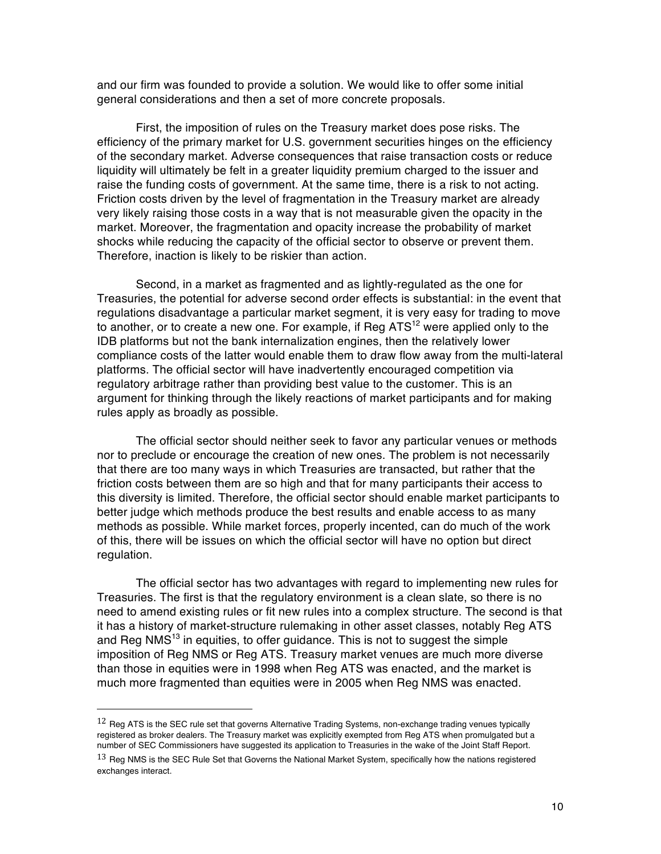and our firm was founded to provide a solution. We would like to offer some initial general considerations and then a set of more concrete proposals.

First, the imposition of rules on the Treasury market does pose risks. The efficiency of the primary market for U.S. government securities hinges on the efficiency of the secondary market. Adverse consequences that raise transaction costs or reduce liquidity will ultimately be felt in a greater liquidity premium charged to the issuer and raise the funding costs of government. At the same time, there is a risk to not acting. Friction costs driven by the level of fragmentation in the Treasury market are already very likely raising those costs in a way that is not measurable given the opacity in the market. Moreover, the fragmentation and opacity increase the probability of market shocks while reducing the capacity of the official sector to observe or prevent them. Therefore, inaction is likely to be riskier than action.

Second, in a market as fragmented and as lightly-regulated as the one for Treasuries, the potential for adverse second order effects is substantial: in the event that regulations disadvantage a particular market segment, it is very easy for trading to move to another, or to create a new one. For example, if Reg  $ATS^{12}$  were applied only to the IDB platforms but not the bank internalization engines, then the relatively lower compliance costs of the latter would enable them to draw flow away from the multi-lateral platforms. The official sector will have inadvertently encouraged competition via regulatory arbitrage rather than providing best value to the customer. This is an argument for thinking through the likely reactions of market participants and for making rules apply as broadly as possible.

The official sector should neither seek to favor any particular venues or methods nor to preclude or encourage the creation of new ones. The problem is not necessarily that there are too many ways in which Treasuries are transacted, but rather that the friction costs between them are so high and that for many participants their access to this diversity is limited. Therefore, the official sector should enable market participants to better judge which methods produce the best results and enable access to as many methods as possible. While market forces, properly incented, can do much of the work of this, there will be issues on which the official sector will have no option but direct regulation.

The official sector has two advantages with regard to implementing new rules for Treasuries. The first is that the regulatory environment is a clean slate, so there is no need to amend existing rules or fit new rules into a complex structure. The second is that it has a history of market-structure rulemaking in other asset classes, notably Reg ATS and Reg NMS<sup>13</sup> in equities, to offer guidance. This is not to suggest the simple imposition of Reg NMS or Reg ATS. Treasury market venues are much more diverse than those in equities were in 1998 when Reg ATS was enacted, and the market is much more fragmented than equities were in 2005 when Reg NMS was enacted.

 $12$  Reg ATS is the SEC rule set that governs Alternative Trading Systems, non-exchange trading venues typically registered as broker dealers. The Treasury market was explicitly exempted from Reg ATS when promulgated but a number of SEC Commissioners have suggested its application to Treasuries in the wake of the Joint Staff Report.

 $13$  Reg NMS is the SEC Rule Set that Governs the National Market System, specifically how the nations registered exchanges interact.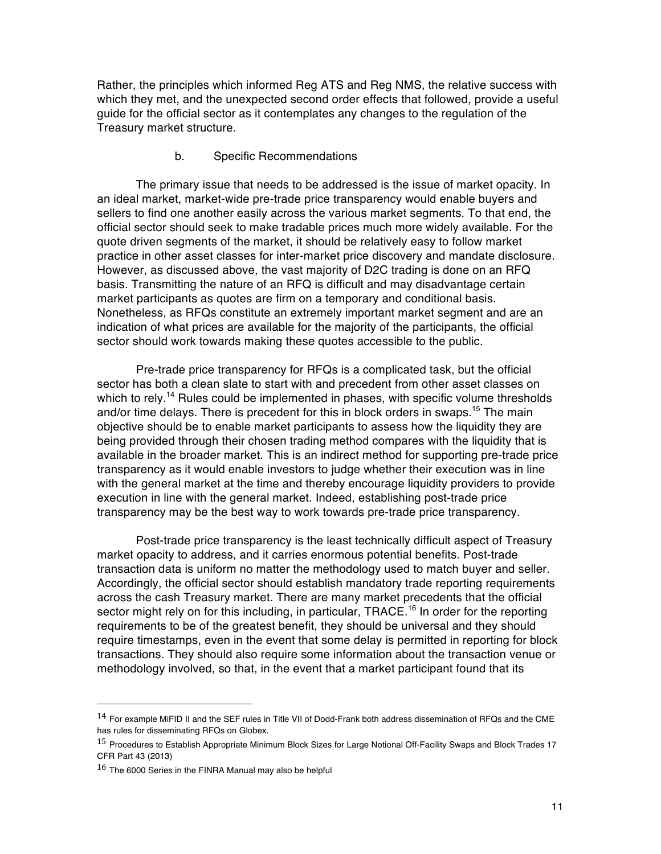Rather, the principles which informed Reg ATS and Reg NMS, the relative success with which they met, and the unexpected second order effects that followed, provide a useful guide for the official sector as it contemplates any changes to the regulation of the Treasury market structure.

#### b. Specific Recommendations

The primary issue that needs to be addressed is the issue of market opacity. In an ideal market, market-wide pre-trade price transparency would enable buyers and sellers to find one another easily across the various market segments. To that end, the official sector should seek to make tradable prices much more widely available. For the quote driven segments of the market, it should be relatively easy to follow market practice in other asset classes for inter-market price discovery and mandate disclosure. However, as discussed above, the vast majority of D2C trading is done on an RFQ basis. Transmitting the nature of an RFQ is difficult and may disadvantage certain market participants as quotes are firm on a temporary and conditional basis. Nonetheless, as RFQs constitute an extremely important market segment and are an indication of what prices are available for the majority of the participants, the official sector should work towards making these quotes accessible to the public.

Pre-trade price transparency for RFQs is a complicated task, but the official sector has both a clean slate to start with and precedent from other asset classes on which to rely.<sup>14</sup> Rules could be implemented in phases, with specific volume thresholds and/or time delays. There is precedent for this in block orders in swaps.<sup>15</sup> The main objective should be to enable market participants to assess how the liquidity they are being provided through their chosen trading method compares with the liquidity that is available in the broader market. This is an indirect method for supporting pre-trade price transparency as it would enable investors to judge whether their execution was in line with the general market at the time and thereby encourage liquidity providers to provide execution in line with the general market. Indeed, establishing post-trade price transparency may be the best way to work towards pre-trade price transparency.

Post-trade price transparency is the least technically difficult aspect of Treasury market opacity to address, and it carries enormous potential benefits. Post-trade transaction data is uniform no matter the methodology used to match buyer and seller. Accordingly, the official sector should establish mandatory trade reporting requirements across the cash Treasury market. There are many market precedents that the official sector might rely on for this including, in particular, TRACE.<sup>16</sup> In order for the reporting requirements to be of the greatest benefit, they should be universal and they should require timestamps, even in the event that some delay is permitted in reporting for block transactions. They should also require some information about the transaction venue or methodology involved, so that, in the event that a market participant found that its

 $14$  For example MiFID II and the SEF rules in Title VII of Dodd-Frank both address dissemination of RFQs and the CME has rules for disseminating RFQs on Globex.

<sup>&</sup>lt;sup>15</sup> Procedures to Establish Appropriate Minimum Block Sizes for Large Notional Off-Facility Swaps and Block Trades 17 CFR Part 43 (2013)

<sup>16</sup> The 6000 Series in the FINRA Manual may also be helpful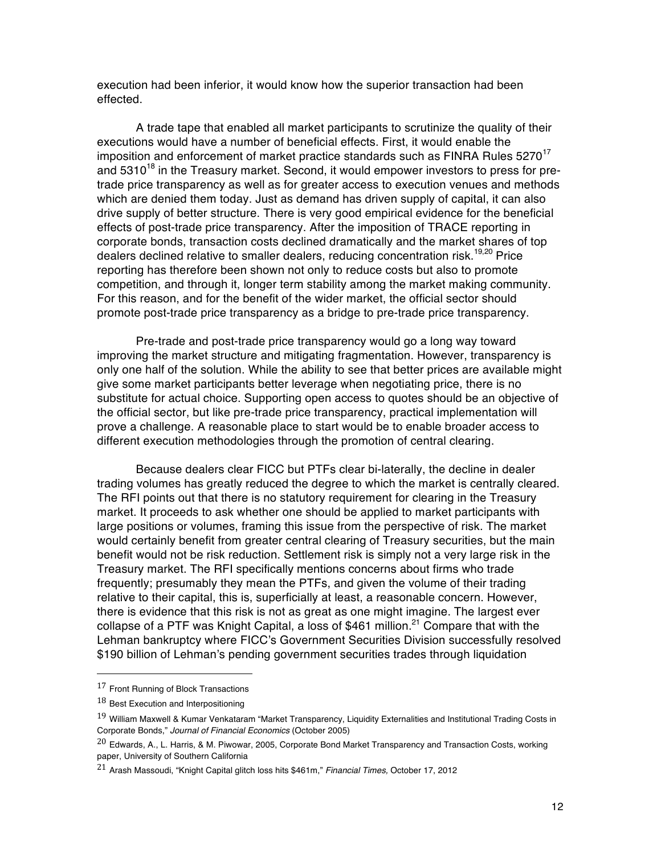execution had been inferior, it would know how the superior transaction had been effected.

A trade tape that enabled all market participants to scrutinize the quality of their executions would have a number of beneficial effects. First, it would enable the imposition and enforcement of market practice standards such as FINRA Rules  $5270^{17}$ and  $5310^{18}$  in the Treasury market. Second, it would empower investors to press for pretrade price transparency as well as for greater access to execution venues and methods which are denied them today. Just as demand has driven supply of capital, it can also drive supply of better structure. There is very good empirical evidence for the beneficial effects of post-trade price transparency. After the imposition of TRACE reporting in corporate bonds, transaction costs declined dramatically and the market shares of top dealers declined relative to smaller dealers, reducing concentration risk.<sup>19,20</sup> Price reporting has therefore been shown not only to reduce costs but also to promote competition, and through it, longer term stability among the market making community. For this reason, and for the benefit of the wider market, the official sector should promote post-trade price transparency as a bridge to pre-trade price transparency.

Pre-trade and post-trade price transparency would go a long way toward improving the market structure and mitigating fragmentation. However, transparency is only one half of the solution. While the ability to see that better prices are available might give some market participants better leverage when negotiating price, there is no substitute for actual choice. Supporting open access to quotes should be an objective of the official sector, but like pre-trade price transparency, practical implementation will prove a challenge. A reasonable place to start would be to enable broader access to different execution methodologies through the promotion of central clearing.

Because dealers clear FICC but PTFs clear bi-laterally, the decline in dealer trading volumes has greatly reduced the degree to which the market is centrally cleared. The RFI points out that there is no statutory requirement for clearing in the Treasury market. It proceeds to ask whether one should be applied to market participants with large positions or volumes, framing this issue from the perspective of risk. The market would certainly benefit from greater central clearing of Treasury securities, but the main benefit would not be risk reduction. Settlement risk is simply not a very large risk in the Treasury market. The RFI specifically mentions concerns about firms who trade frequently; presumably they mean the PTFs, and given the volume of their trading relative to their capital, this is, superficially at least, a reasonable concern. However, there is evidence that this risk is not as great as one might imagine. The largest ever collapse of a PTF was Knight Capital, a loss of \$461 million.<sup>21</sup> Compare that with the Lehman bankruptcy where FICC's Government Securities Division successfully resolved \$190 billion of Lehman's pending government securities trades through liquidation

 17 Front Running of Block Transactions

 $18$  Best Execution and Interpositioning

<sup>19</sup> William Maxwell & Kumar Venkataram "Market Transparency, Liquidity Externalities and Institutional Trading Costs in Corporate Bonds," *Journal of Financial Economics* (October 2005)

 $^{20}$  Edwards, A., L. Harris, & M. Piwowar, 2005, Corporate Bond Market Transparency and Transaction Costs, working paper, University of Southern California

<sup>21</sup> Arash Massoudi, "Knight Capital glitch loss hits \$461m," *Financial Times,* October 17, 2012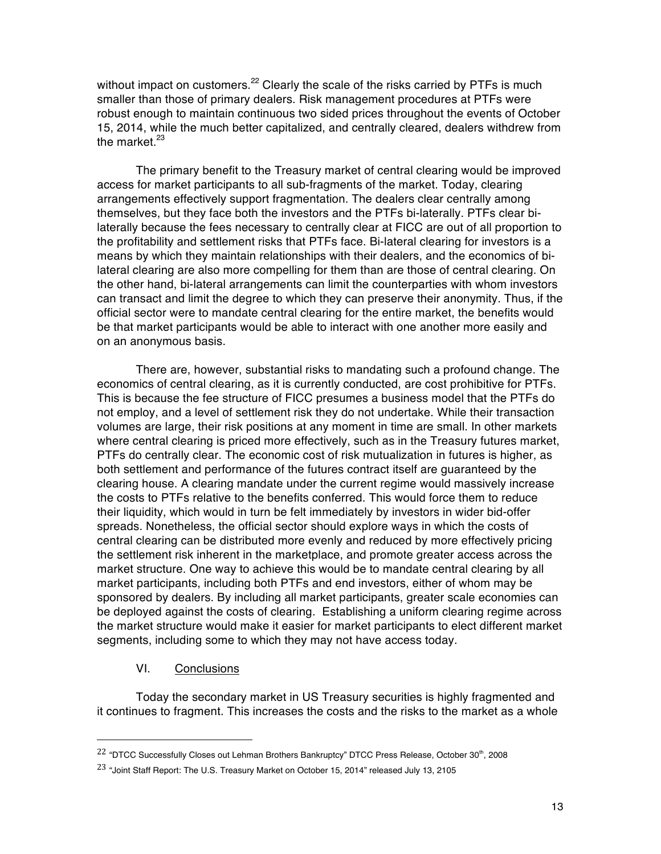without impact on customers. $22$  Clearly the scale of the risks carried by PTFs is much smaller than those of primary dealers. Risk management procedures at PTFs were robust enough to maintain continuous two sided prices throughout the events of October 15, 2014, while the much better capitalized, and centrally cleared, dealers withdrew from the market. $23$ 

The primary benefit to the Treasury market of central clearing would be improved access for market participants to all sub-fragments of the market. Today, clearing arrangements effectively support fragmentation. The dealers clear centrally among themselves, but they face both the investors and the PTFs bi-laterally. PTFs clear bilaterally because the fees necessary to centrally clear at FICC are out of all proportion to the profitability and settlement risks that PTFs face. Bi-lateral clearing for investors is a means by which they maintain relationships with their dealers, and the economics of bilateral clearing are also more compelling for them than are those of central clearing. On the other hand, bi-lateral arrangements can limit the counterparties with whom investors can transact and limit the degree to which they can preserve their anonymity. Thus, if the official sector were to mandate central clearing for the entire market, the benefits would be that market participants would be able to interact with one another more easily and on an anonymous basis.

There are, however, substantial risks to mandating such a profound change. The economics of central clearing, as it is currently conducted, are cost prohibitive for PTFs. This is because the fee structure of FICC presumes a business model that the PTFs do not employ, and a level of settlement risk they do not undertake. While their transaction volumes are large, their risk positions at any moment in time are small. In other markets where central clearing is priced more effectively, such as in the Treasury futures market, PTFs do centrally clear. The economic cost of risk mutualization in futures is higher, as both settlement and performance of the futures contract itself are guaranteed by the clearing house. A clearing mandate under the current regime would massively increase the costs to PTFs relative to the benefits conferred. This would force them to reduce their liquidity, which would in turn be felt immediately by investors in wider bid-offer spreads. Nonetheless, the official sector should explore ways in which the costs of central clearing can be distributed more evenly and reduced by more effectively pricing the settlement risk inherent in the marketplace, and promote greater access across the market structure. One way to achieve this would be to mandate central clearing by all market participants, including both PTFs and end investors, either of whom may be sponsored by dealers. By including all market participants, greater scale economies can be deployed against the costs of clearing. Establishing a uniform clearing regime across the market structure would make it easier for market participants to elect different market segments, including some to which they may not have access today.

#### VI. Conclusions

 

Today the secondary market in US Treasury securities is highly fragmented and it continues to fragment. This increases the costs and the risks to the market as a whole

<sup>&</sup>lt;sup>22</sup> "DTCC Successfully Closes out Lehman Brothers Bankruptcy" DTCC Press Release, October 30<sup>th</sup>, 2008

<sup>&</sup>lt;sup>23</sup> "Joint Staff Report: The U.S. Treasury Market on October 15, 2014" released July 13, 2105